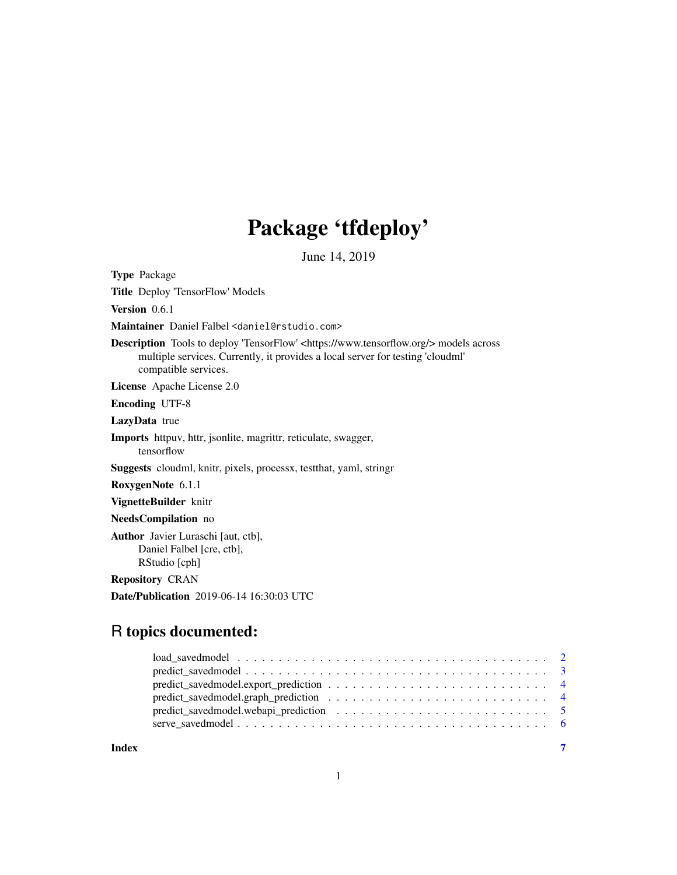## Package 'tfdeploy'

June 14, 2019

<span id="page-0-0"></span>Type Package

Title Deploy 'TensorFlow' Models

Version 0.6.1

Maintainer Daniel Falbel <daniel@rstudio.com>

Description Tools to deploy 'TensorFlow' <https://www.tensorflow.org/> models across multiple services. Currently, it provides a local server for testing 'cloudml' compatible services.

License Apache License 2.0

Encoding UTF-8

LazyData true

Imports httpuv, httr, jsonlite, magrittr, reticulate, swagger, tensorflow

Suggests cloudml, knitr, pixels, processx, testthat, yaml, stringr

RoxygenNote 6.1.1

VignetteBuilder knitr

NeedsCompilation no

Author Javier Luraschi [aut, ctb], Daniel Falbel [cre, ctb], RStudio [cph]

Repository CRAN

Date/Publication 2019-06-14 16:30:03 UTC

### R topics documented:

| predict_savedmodel.graph_prediction $\dots \dots \dots \dots \dots \dots \dots \dots \dots \dots \dots$ |  |
|---------------------------------------------------------------------------------------------------------|--|
|                                                                                                         |  |
|                                                                                                         |  |
|                                                                                                         |  |

**Index** [7](#page-6-0) **7**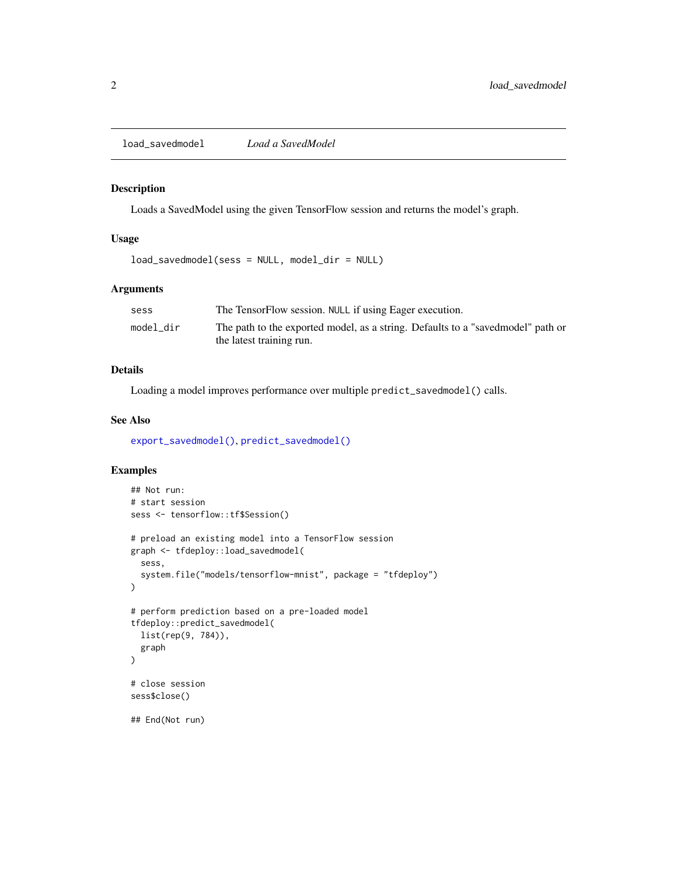<span id="page-1-1"></span><span id="page-1-0"></span>load\_savedmodel *Load a SavedModel*

#### Description

Loads a SavedModel using the given TensorFlow session and returns the model's graph.

#### Usage

load\_savedmodel(sess = NULL, model\_dir = NULL)

#### Arguments

| sess      | The TensorFlow session. NULL if using Eager execution.                           |
|-----------|----------------------------------------------------------------------------------|
| model dir | The path to the exported model, as a string. Defaults to a "saved model" path or |
|           | the latest training run.                                                         |

#### Details

Loading a model improves performance over multiple predict\_savedmodel() calls.

#### See Also

[export\\_savedmodel\(\)](#page-0-0), [predict\\_savedmodel\(\)](#page-2-1)

#### Examples

```
## Not run:
# start session
sess <- tensorflow::tf$Session()
# preload an existing model into a TensorFlow session
graph <- tfdeploy::load_savedmodel(
  sess,
  system.file("models/tensorflow-mnist", package = "tfdeploy")
\mathcal{L}# perform prediction based on a pre-loaded model
tfdeploy::predict_savedmodel(
  list(rep(9, 784)),
  graph
)
# close session
sess$close()
## End(Not run)
```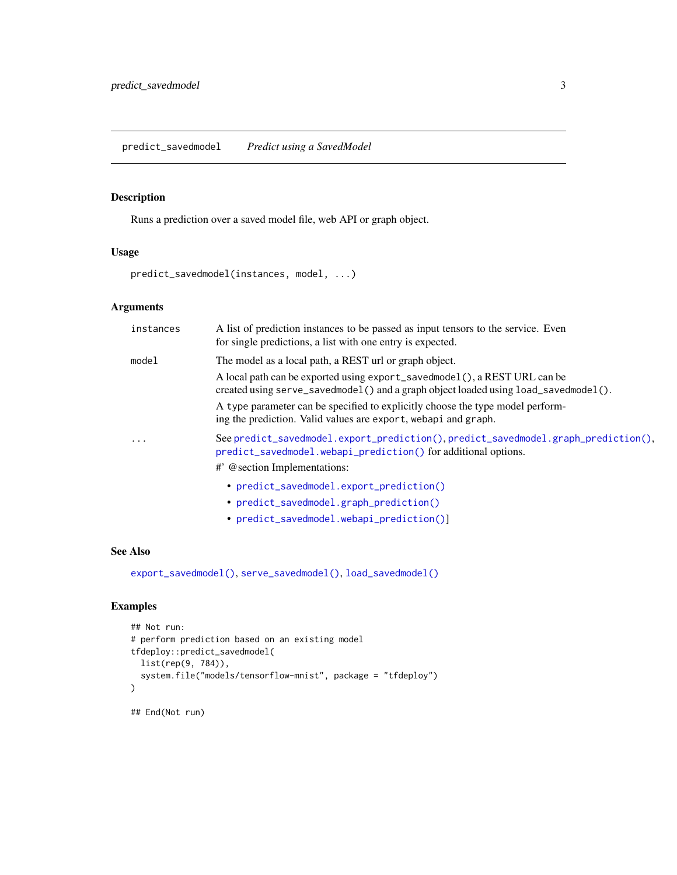#### <span id="page-2-1"></span><span id="page-2-0"></span>Description

Runs a prediction over a saved model file, web API or graph object.

#### Usage

predict\_savedmodel(instances, model, ...)

#### Arguments

| instances | A list of prediction instances to be passed as input tensors to the service. Even<br>for single predictions, a list with one entry is expected.                  |
|-----------|------------------------------------------------------------------------------------------------------------------------------------------------------------------|
| model     | The model as a local path, a REST url or graph object.                                                                                                           |
|           | A local path can be exported using export_savedmodel(), a REST URL can be<br>created using serve_savedmodel() and a graph object loaded using load_savedmodel(). |
|           | A type parameter can be specified to explicitly choose the type model perform-<br>ing the prediction. Valid values are export, webapi and graph.                 |
| $\ddotsc$ | See predict_savedmodel.export_prediction(),predict_savedmodel.graph_prediction(),<br>predict_savedmodel.webapi_prediction() for additional options.              |
|           | #' @section Implementations:                                                                                                                                     |
|           | • predict_savedmodel.export_prediction()                                                                                                                         |
|           | • predict_savedmodel.graph_prediction()                                                                                                                          |
|           | • predict_savedmodel.webapi_prediction()]                                                                                                                        |

#### See Also

[export\\_savedmodel\(\)](#page-0-0), [serve\\_savedmodel\(\)](#page-5-1), [load\\_savedmodel\(\)](#page-1-1)

#### Examples

```
## Not run:
# perform prediction based on an existing model
tfdeploy::predict_savedmodel(
  list(rep(9, 784)),
  system.file("models/tensorflow-mnist", package = "tfdeploy")
)
## End(Not run)
```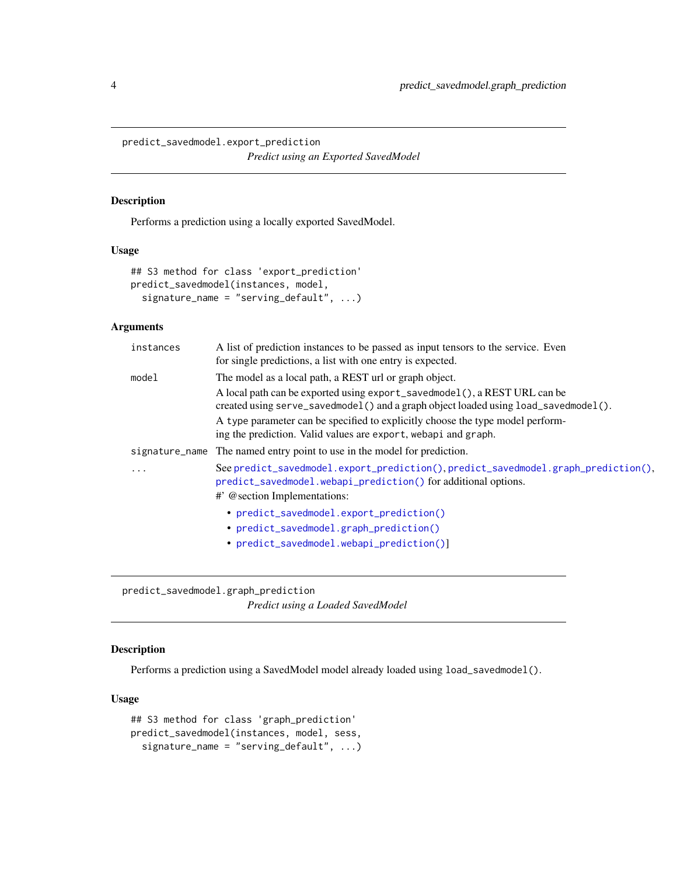<span id="page-3-1"></span><span id="page-3-0"></span>predict\_savedmodel.export\_prediction *Predict using an Exported SavedModel*

#### Description

Performs a prediction using a locally exported SavedModel.

#### Usage

```
## S3 method for class 'export_prediction'
predict_savedmodel(instances, model,
  signature_name = "serving_default", ...)
```
#### Arguments

| instances | A list of prediction instances to be passed as input tensors to the service. Even<br>for single predictions, a list with one entry is expected.                                                                                                                                                                                                                                |
|-----------|--------------------------------------------------------------------------------------------------------------------------------------------------------------------------------------------------------------------------------------------------------------------------------------------------------------------------------------------------------------------------------|
| model     | The model as a local path, a REST url or graph object.<br>A local path can be exported using export_savedmodel(), a REST URL can be<br>created using serve_savedmodel() and a graph object loaded using load_savedmodel().<br>A type parameter can be specified to explicitly choose the type model perform-<br>ing the prediction. Valid values are export, webapi and graph. |
|           | signature_name The named entry point to use in the model for prediction.                                                                                                                                                                                                                                                                                                       |
| $\ddotsc$ | See predict_savedmodel.export_prediction(),predict_savedmodel.graph_prediction(),<br>predict_savedmodel.webapi_prediction() for additional options.                                                                                                                                                                                                                            |
|           | #' @section Implementations:                                                                                                                                                                                                                                                                                                                                                   |
|           | • predict_savedmodel.export_prediction()                                                                                                                                                                                                                                                                                                                                       |
|           | • predict_savedmodel.graph_prediction()                                                                                                                                                                                                                                                                                                                                        |
|           | • predict_savedmodel.webapi_prediction()]                                                                                                                                                                                                                                                                                                                                      |

<span id="page-3-2"></span>predict\_savedmodel.graph\_prediction *Predict using a Loaded SavedModel*

#### Description

Performs a prediction using a SavedModel model already loaded using load\_savedmodel().

#### Usage

```
## S3 method for class 'graph_prediction'
predict_savedmodel(instances, model, sess,
  signature_name = "serving_default", ...)
```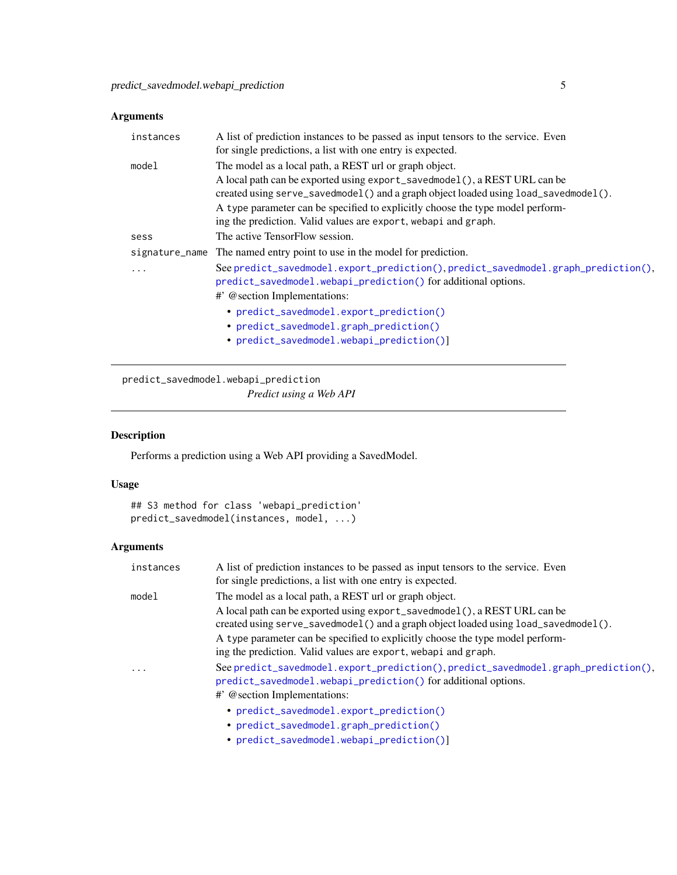#### <span id="page-4-0"></span>Arguments

| instances | A list of prediction instances to be passed as input tensors to the service. Even<br>for single predictions, a list with one entry is expected.                                                                                                                                                                                                                                |
|-----------|--------------------------------------------------------------------------------------------------------------------------------------------------------------------------------------------------------------------------------------------------------------------------------------------------------------------------------------------------------------------------------|
| model     | The model as a local path, a REST url or graph object.<br>A local path can be exported using export_savedmodel(), a REST URL can be<br>created using serve_savedmodel() and a graph object loaded using load_savedmodel().<br>A type parameter can be specified to explicitly choose the type model perform-<br>ing the prediction. Valid values are export, webapi and graph. |
| sess      | The active TensorFlow session.                                                                                                                                                                                                                                                                                                                                                 |
|           | signature_name The named entry point to use in the model for prediction.                                                                                                                                                                                                                                                                                                       |
| $\ddotsc$ | See predict_savedmodel.export_prediction(),predict_savedmodel.graph_prediction(),<br>predict_savedmodel.webapi_prediction() for additional options.<br>#' @section Implementations:                                                                                                                                                                                            |
|           | • predict_savedmodel.export_prediction()<br>• predict_savedmodel.graph_prediction()<br>• predict_savedmodel.webapi_prediction()]                                                                                                                                                                                                                                               |

<span id="page-4-1"></span>predict\_savedmodel.webapi\_prediction

*Predict using a Web API*

#### Description

Performs a prediction using a Web API providing a SavedModel.

#### Usage

```
## S3 method for class 'webapi_prediction'
predict_savedmodel(instances, model, ...)
```
#### Arguments

| instances               | A list of prediction instances to be passed as input tensors to the service. Even<br>for single predictions, a list with one entry is expected.                                                                            |
|-------------------------|----------------------------------------------------------------------------------------------------------------------------------------------------------------------------------------------------------------------------|
| model                   | The model as a local path, a REST url or graph object.<br>A local path can be exported using export_savedmodel(), a REST URL can be<br>created using serve_savedmodel() and a graph object loaded using load_savedmodel(). |
|                         | A type parameter can be specified to explicitly choose the type model perform-<br>ing the prediction. Valid values are export, webapi and graph.                                                                           |
| $\cdot$ $\cdot$ $\cdot$ | See predict_savedmodel.export_prediction(),predict_savedmodel.graph_prediction(),<br>predict_savedmodel.webapi_prediction() for additional options.<br>#' @section Implementations:                                        |
|                         | • predict_savedmodel.export_prediction()<br>• predict_savedmodel.graph_prediction()                                                                                                                                        |

• [predict\\_savedmodel.webapi\\_prediction\(\)](#page-4-1)]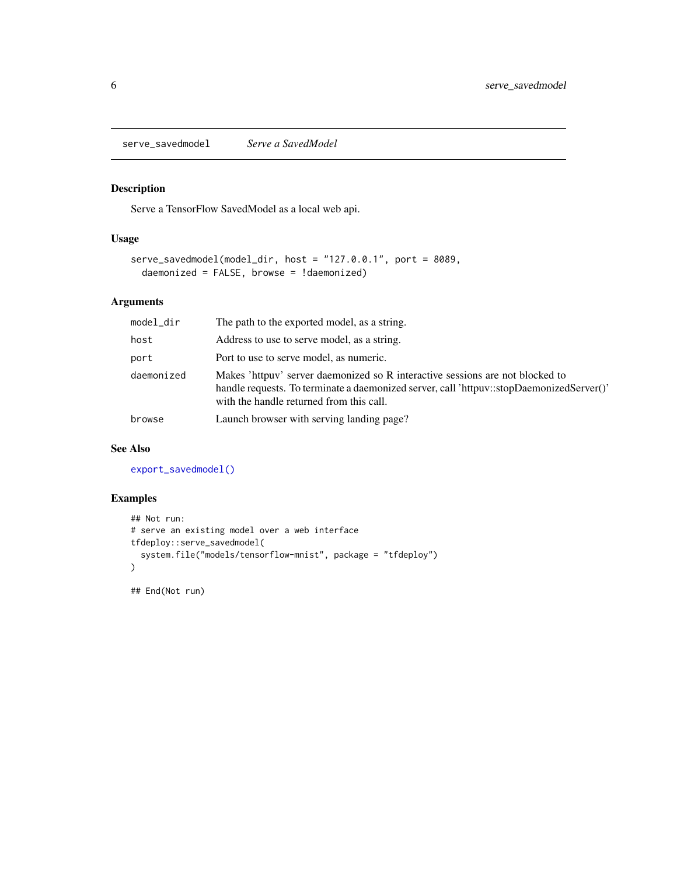<span id="page-5-1"></span><span id="page-5-0"></span>serve\_savedmodel *Serve a SavedModel*

#### Description

Serve a TensorFlow SavedModel as a local web api.

#### Usage

```
serve_savedmodel(model_dir, host = "127.0.0.1", port = 8089,
 daemonized = FALSE, browse = !daemonized)
```
#### Arguments

| model_dir  | The path to the exported model, as a string.                                                                                                                                                                          |
|------------|-----------------------------------------------------------------------------------------------------------------------------------------------------------------------------------------------------------------------|
| host       | Address to use to serve model, as a string.                                                                                                                                                                           |
| port       | Port to use to serve model, as numeric.                                                                                                                                                                               |
| daemonized | Makes 'httpuv' server daemonized so R interactive sessions are not blocked to<br>handle requests. To terminate a daemonized server, call 'httpuv::stopDaemonizedServer()'<br>with the handle returned from this call. |
| browse     | Launch browser with serving landing page?                                                                                                                                                                             |

#### See Also

[export\\_savedmodel\(\)](#page-0-0)

#### Examples

```
## Not run:
# serve an existing model over a web interface
tfdeploy::serve_savedmodel(
  system.file("models/tensorflow-mnist", package = "tfdeploy")
\mathcal{L}
```
## End(Not run)